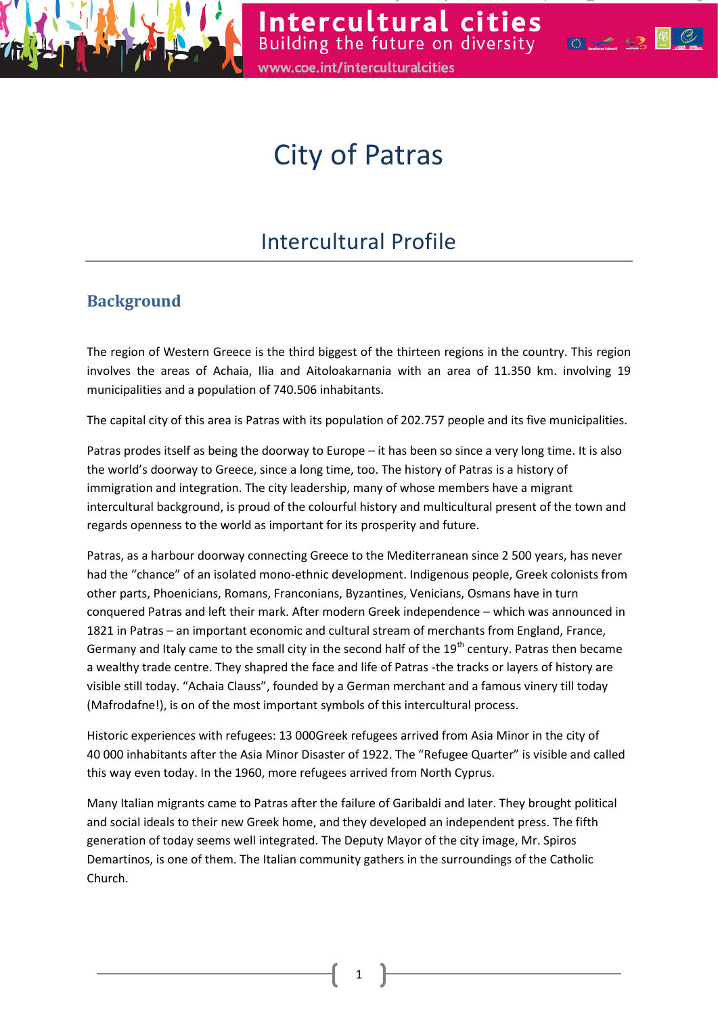

# City of Patras

## Intercultural Profile

### **Background**

The region of Western Greece is the third biggest of the thirteen regions in the country. This region involves the areas of Achaia, Ilia and Aitoloakarnania with an area of 11.350 km. involving 19 municipalities and a population of 740.506 inhabitants.

The capital city of this area is Patras with its population of 202.757 people and its five municipalities.

Patras prodes itself as being the doorway to Europe – it has been so since a very long time. It is also the world's doorway to Greece, since a long time, too. The history of Patras is a history of immigration and integration. The city leadership, many of whose members have a migrant intercultural background, is proud of the colourful history and multicultural present of the town and regards openness to the world as important for its prosperity and future.

Patras, as a harbour doorway connecting Greece to the Mediterranean since 2 500 years, has never had the "chance" of an isolated mono-ethnic development. Indigenous people, Greek colonists from other parts, Phoenicians, Romans, Franconians, Byzantines, Venicians, Osmans have in turn conquered Patras and left their mark. After modern Greek independence – which was announced in 1821 in Patras – an important economic and cultural stream of merchants from England, France, Germany and Italy came to the small city in the second half of the  $19<sup>th</sup>$  century. Patras then became a wealthy trade centre. They shapred the face and life of Patras -the tracks or layers of history are visible still today. "Achaia Clauss", founded by a German merchant and a famous vinery till today (Mafrodafne!), is on of the most important symbols of this intercultural process.

Historic experiences with refugees: 13 000Greek refugees arrived from Asia Minor in the city of 40 000 inhabitants after the Asia Minor Disaster of 1922. The "Refugee Quarter" is visible and called this way even today. In the 1960, more refugees arrived from North Cyprus.

Many Italian migrants came to Patras after the failure of Garibaldi and later. They brought political and social ideals to their new Greek home, and they developed an independent press. The fifth generation of today seems well integrated. The Deputy Mayor of the city image, Mr. Spiros Demartinos, is one of them. The Italian community gathers in the surroundings of the Catholic Church.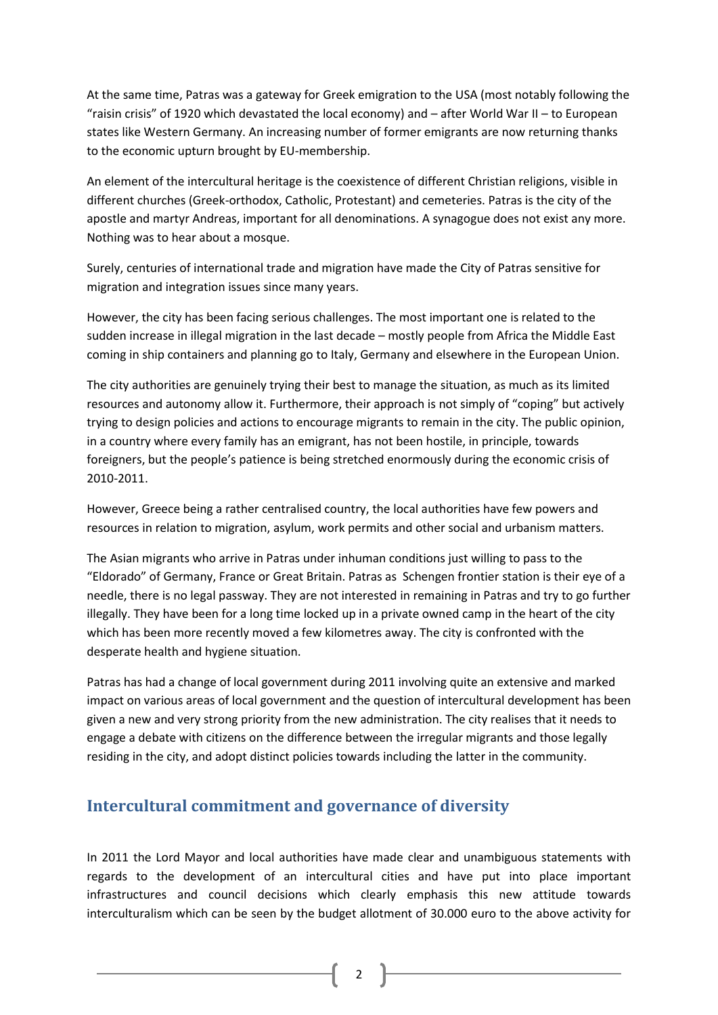At the same time, Patras was a gateway for Greek emigration to the USA (most notably following the "raisin crisis" of 1920 which devastated the local economy) and – after World War II – to European states like Western Germany. An increasing number of former emigrants are now returning thanks to the economic upturn brought by EU-membership.

An element of the intercultural heritage is the coexistence of different Christian religions, visible in different churches (Greek-orthodox, Catholic, Protestant) and cemeteries. Patras is the city of the apostle and martyr Andreas, important for all denominations. A synagogue does not exist any more. Nothing was to hear about a mosque.

Surely, centuries of international trade and migration have made the City of Patras sensitive for migration and integration issues since many years.

However, the city has been facing serious challenges. The most important one is related to the sudden increase in illegal migration in the last decade – mostly people from Africa the Middle East coming in ship containers and planning go to Italy, Germany and elsewhere in the European Union.

The city authorities are genuinely trying their best to manage the situation, as much as its limited resources and autonomy allow it. Furthermore, their approach is not simply of "coping" but actively trying to design policies and actions to encourage migrants to remain in the city. The public opinion, in a country where every family has an emigrant, has not been hostile, in principle, towards foreigners, but the people's patience is being stretched enormously during the economic crisis of 2010-2011.

However, Greece being a rather centralised country, the local authorities have few powers and resources in relation to migration, asylum, work permits and other social and urbanism matters.

The Asian migrants who arrive in Patras under inhuman conditions just willing to pass to the "Eldorado" of Germany, France or Great Britain. Patras as Schengen frontier station is their eye of a needle, there is no legal passway. They are not interested in remaining in Patras and try to go further illegally. They have been for a long time locked up in a private owned camp in the heart of the city which has been more recently moved a few kilometres away. The city is confronted with the desperate health and hygiene situation.

Patras has had a change of local government during 2011 involving quite an extensive and marked impact on various areas of local government and the question of intercultural development has been given a new and very strong priority from the new administration. The city realises that it needs to engage a debate with citizens on the difference between the irregular migrants and those legally residing in the city, and adopt distinct policies towards including the latter in the community.

#### **Intercultural commitment and governance of diversity**

In 2011 the Lord Mayor and local authorities have made clear and unambiguous statements with regards to the development of an intercultural cities and have put into place important infrastructures and council decisions which clearly emphasis this new attitude towards interculturalism which can be seen by the budget allotment of 30.000 euro to the above activity for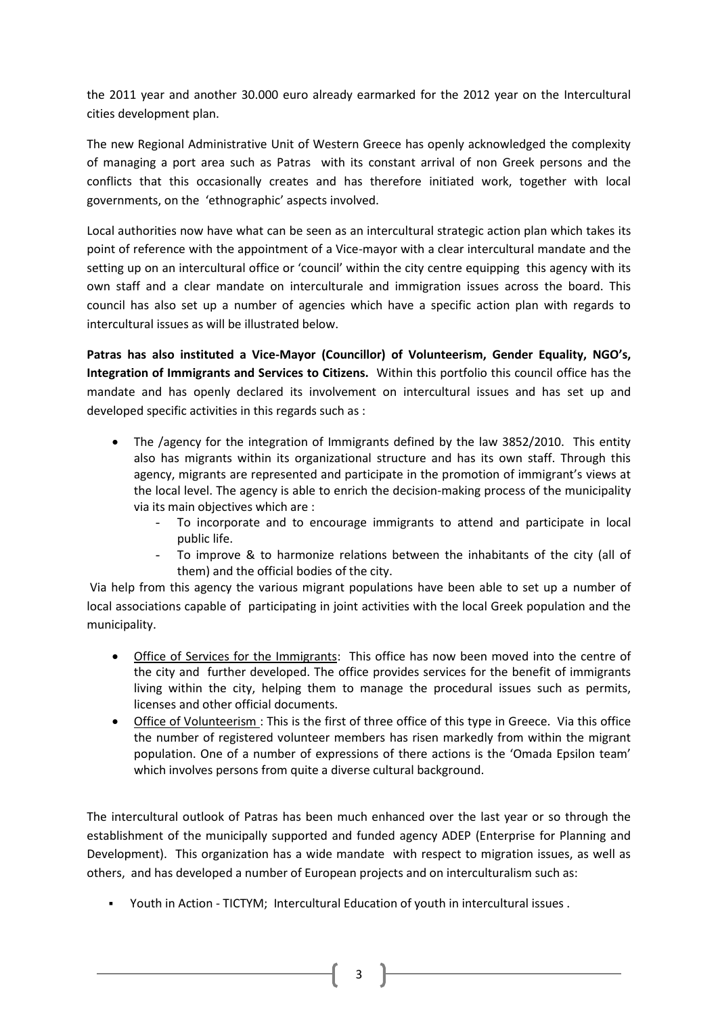the 2011 year and another 30.000 euro already earmarked for the 2012 year on the Intercultural cities development plan.

The new Regional Administrative Unit of Western Greece has openly acknowledged the complexity of managing a port area such as Patras with its constant arrival of non Greek persons and the conflicts that this occasionally creates and has therefore initiated work, together with local governments, on the 'ethnographic' aspects involved.

Local authorities now have what can be seen as an intercultural strategic action plan which takes its point of reference with the appointment of a Vice-mayor with a clear intercultural mandate and the setting up on an intercultural office or 'council' within the city centre equipping this agency with its own staff and a clear mandate on interculturale and immigration issues across the board. This council has also set up a number of agencies which have a specific action plan with regards to intercultural issues as will be illustrated below.

**Patras has also instituted a Vice-Mayor (Councillor) of Volunteerism, Gender Equality, NGO's, Integration of Immigrants and Services to Citizens.** Within this portfolio this council office has the mandate and has openly declared its involvement on intercultural issues and has set up and developed specific activities in this regards such as :

- The /agency for the integration of Immigrants defined by the law 3852/2010. This entity also has migrants within its organizational structure and has its own staff. Through this agency, migrants are represented and participate in the promotion of immigrant's views at the local level. The agency is able to enrich the decision-making process of the municipality via its main objectives which are :
	- To incorporate and to encourage immigrants to attend and participate in local public life.
	- To improve & to harmonize relations between the inhabitants of the city (all of them) and the official bodies of the city.

Via help from this agency the various migrant populations have been able to set up a number of local associations capable of participating in joint activities with the local Greek population and the municipality.

- Office of Services for the Immigrants: This office has now been moved into the centre of the city and further developed. The office provides services for the benefit of immigrants living within the city, helping them to manage the procedural issues such as permits, licenses and other official documents.
- Office of Volunteerism : This is the first of three office of this type in Greece. Via this office the number of registered volunteer members has risen markedly from within the migrant population. One of a number of expressions of there actions is the 'Omada Epsilon team' which involves persons from quite a diverse cultural background.

The intercultural outlook of Patras has been much enhanced over the last year or so through the establishment of the municipally supported and funded agency ADEP (Enterprise for Planning and Development). This organization has a wide mandate with respect to migration issues, as well as others, and has developed a number of European projects and on interculturalism such as:

Youth in Action - TICTYM; Intercultural Education of youth in intercultural issues .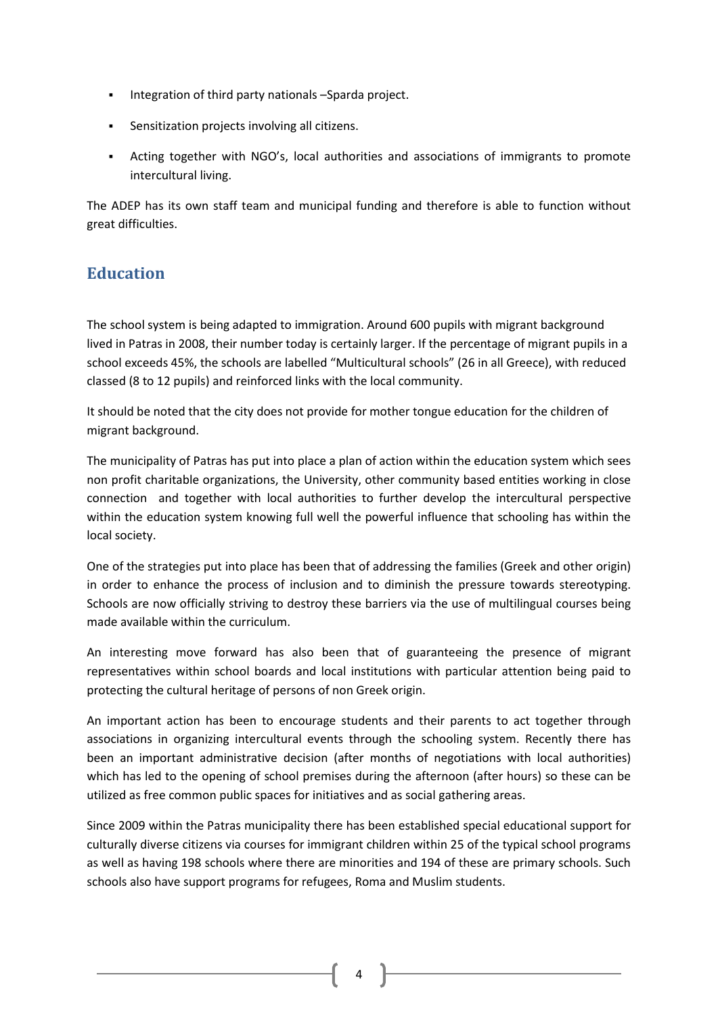- Integration of third party nationals –Sparda project.
- Sensitization projects involving all citizens.
- Acting together with NGO's, local authorities and associations of immigrants to promote intercultural living.

The ADEP has its own staff team and municipal funding and therefore is able to function without great difficulties.

#### **Education**

The school system is being adapted to immigration. Around 600 pupils with migrant background lived in Patras in 2008, their number today is certainly larger. If the percentage of migrant pupils in a school exceeds 45%, the schools are labelled "Multicultural schools" (26 in all Greece), with reduced classed (8 to 12 pupils) and reinforced links with the local community.

It should be noted that the city does not provide for mother tongue education for the children of migrant background.

The municipality of Patras has put into place a plan of action within the education system which sees non profit charitable organizations, the University, other community based entities working in close connection and together with local authorities to further develop the intercultural perspective within the education system knowing full well the powerful influence that schooling has within the local society.

One of the strategies put into place has been that of addressing the families (Greek and other origin) in order to enhance the process of inclusion and to diminish the pressure towards stereotyping. Schools are now officially striving to destroy these barriers via the use of multilingual courses being made available within the curriculum.

An interesting move forward has also been that of guaranteeing the presence of migrant representatives within school boards and local institutions with particular attention being paid to protecting the cultural heritage of persons of non Greek origin.

An important action has been to encourage students and their parents to act together through associations in organizing intercultural events through the schooling system. Recently there has been an important administrative decision (after months of negotiations with local authorities) which has led to the opening of school premises during the afternoon (after hours) so these can be utilized as free common public spaces for initiatives and as social gathering areas.

Since 2009 within the Patras municipality there has been established special educational support for culturally diverse citizens via courses for immigrant children within 25 of the typical school programs as well as having 198 schools where there are minorities and 194 of these are primary schools. Such schools also have support programs for refugees, Roma and Muslim students.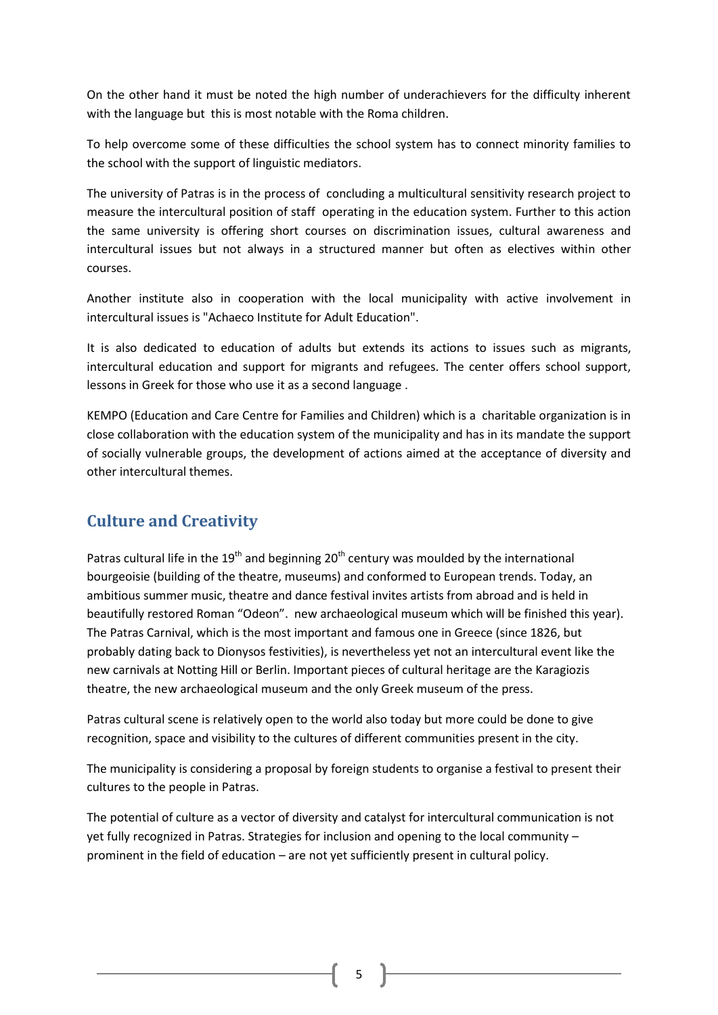On the other hand it must be noted the high number of underachievers for the difficulty inherent with the language but this is most notable with the Roma children.

To help overcome some of these difficulties the school system has to connect minority families to the school with the support of linguistic mediators.

The university of Patras is in the process of concluding a multicultural sensitivity research project to measure the intercultural position of staff operating in the education system. Further to this action the same university is offering short courses on discrimination issues, cultural awareness and intercultural issues but not always in a structured manner but often as electives within other courses.

Another institute also in cooperation with the local municipality with active involvement in intercultural issues is "Achaeco Institute for Adult Education".

It is also dedicated to education of adults but extends its actions to issues such as migrants, intercultural education and support for migrants and refugees. The center offers school support, lessons in Greek for those who use it as a second language .

KEMPO (Education and Care Centre for Families and Children) which is a charitable organization is in close collaboration with the education system of the municipality and has in its mandate the support of socially vulnerable groups, the development of actions aimed at the acceptance of diversity and other intercultural themes.

#### **Culture and Creativity**

Patras cultural life in the 19<sup>th</sup> and beginning 20<sup>th</sup> century was moulded by the international bourgeoisie (building of the theatre, museums) and conformed to European trends. Today, an ambitious summer music, theatre and dance festival invites artists from abroad and is held in beautifully restored Roman "Odeon". new archaeological museum which will be finished this year). The Patras Carnival, which is the most important and famous one in Greece (since 1826, but probably dating back to Dionysos festivities), is nevertheless yet not an intercultural event like the new carnivals at Notting Hill or Berlin. Important pieces of cultural heritage are the Karagiozis theatre, the new archaeological museum and the only Greek museum of the press.

Patras cultural scene is relatively open to the world also today but more could be done to give recognition, space and visibility to the cultures of different communities present in the city.

The municipality is considering a proposal by foreign students to organise a festival to present their cultures to the people in Patras.

The potential of culture as a vector of diversity and catalyst for intercultural communication is not yet fully recognized in Patras. Strategies for inclusion and opening to the local community – prominent in the field of education – are not yet sufficiently present in cultural policy.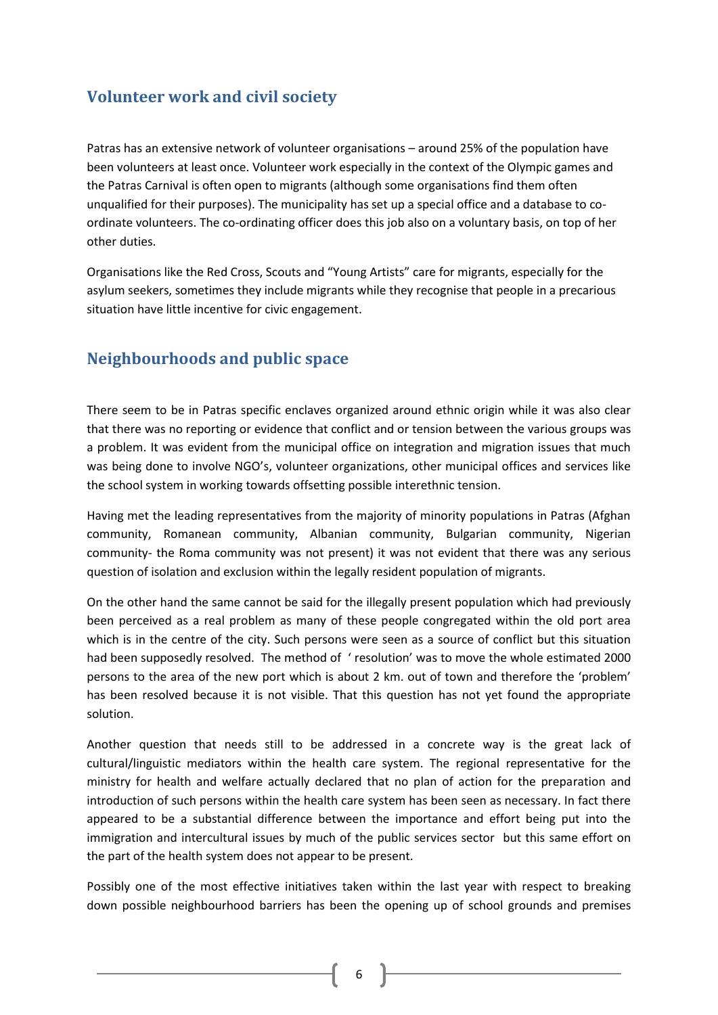#### **Volunteer work and civil society**

Patras has an extensive network of volunteer organisations – around 25% of the population have been volunteers at least once. Volunteer work especially in the context of the Olympic games and the Patras Carnival is often open to migrants (although some organisations find them often unqualified for their purposes). The municipality has set up a special office and a database to coordinate volunteers. The co-ordinating officer does this job also on a voluntary basis, on top of her other duties.

Organisations like the Red Cross, Scouts and "Young Artists" care for migrants, especially for the asylum seekers, sometimes they include migrants while they recognise that people in a precarious situation have little incentive for civic engagement.

#### **Neighbourhoods and public space**

There seem to be in Patras specific enclaves organized around ethnic origin while it was also clear that there was no reporting or evidence that conflict and or tension between the various groups was a problem. It was evident from the municipal office on integration and migration issues that much was being done to involve NGO's, volunteer organizations, other municipal offices and services like the school system in working towards offsetting possible interethnic tension.

Having met the leading representatives from the majority of minority populations in Patras (Afghan community, Romanean community, Albanian community, Bulgarian community, Nigerian community- the Roma community was not present) it was not evident that there was any serious question of isolation and exclusion within the legally resident population of migrants.

On the other hand the same cannot be said for the illegally present population which had previously been perceived as a real problem as many of these people congregated within the old port area which is in the centre of the city. Such persons were seen as a source of conflict but this situation had been supposedly resolved. The method of ' resolution' was to move the whole estimated 2000 persons to the area of the new port which is about 2 km. out of town and therefore the 'problem' has been resolved because it is not visible. That this question has not yet found the appropriate solution.

Another question that needs still to be addressed in a concrete way is the great lack of cultural/linguistic mediators within the health care system. The regional representative for the ministry for health and welfare actually declared that no plan of action for the preparation and introduction of such persons within the health care system has been seen as necessary. In fact there appeared to be a substantial difference between the importance and effort being put into the immigration and intercultural issues by much of the public services sector but this same effort on the part of the health system does not appear to be present.

Possibly one of the most effective initiatives taken within the last year with respect to breaking down possible neighbourhood barriers has been the opening up of school grounds and premises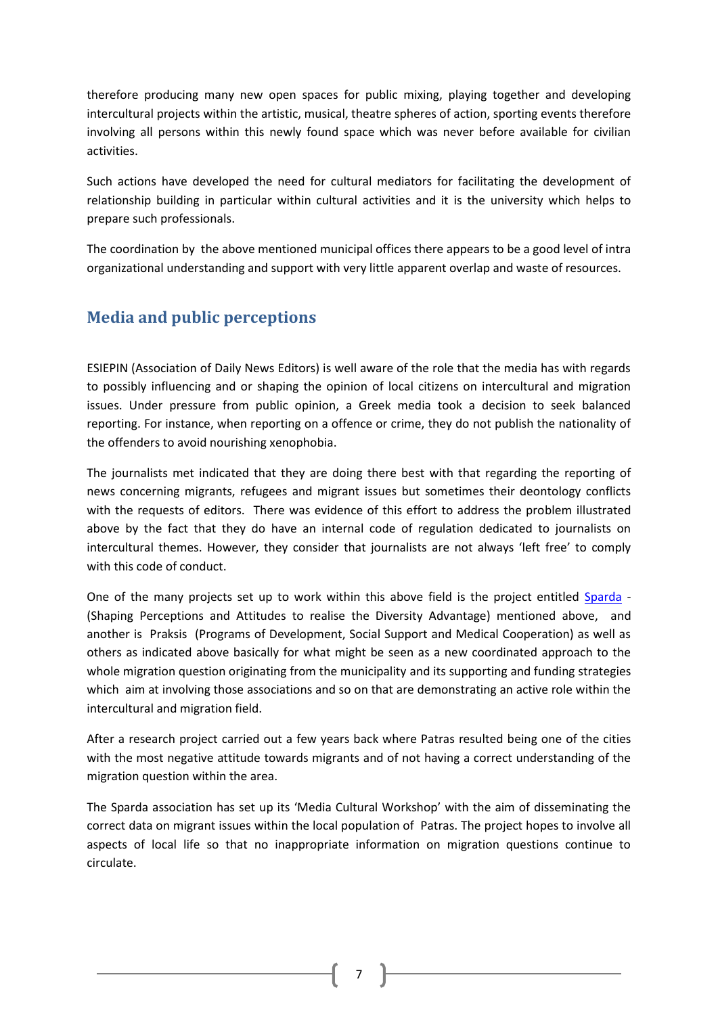therefore producing many new open spaces for public mixing, playing together and developing intercultural projects within the artistic, musical, theatre spheres of action, sporting events therefore involving all persons within this newly found space which was never before available for civilian activities.

Such actions have developed the need for cultural mediators for facilitating the development of relationship building in particular within cultural activities and it is the university which helps to prepare such professionals.

The coordination by the above mentioned municipal offices there appears to be a good level of intra organizational understanding and support with very little apparent overlap and waste of resources.

#### **Media and public perceptions**

ESIEPIN (Association of Daily News Editors) is well aware of the role that the media has with regards to possibly influencing and or shaping the opinion of local citizens on intercultural and migration issues. Under pressure from public opinion, a Greek media took a decision to seek balanced reporting. For instance, when reporting on a offence or crime, they do not publish the nationality of the offenders to avoid nourishing xenophobia.

The journalists met indicated that they are doing there best with that regarding the reporting of news concerning migrants, refugees and migrant issues but sometimes their deontology conflicts with the requests of editors. There was evidence of this effort to address the problem illustrated above by the fact that they do have an internal code of regulation dedicated to journalists on intercultural themes. However, they consider that journalists are not always 'left free' to comply with this code of conduct.

One of the many projects set up to work within this above field is the project entitled [Sparda](http://www.coe.int/t/dg4/cultureheritage/culture/SPARDA/Default_en.asp) - (Shaping Perceptions and Attitudes to realise the Diversity Advantage) mentioned above, and another is Praksis (Programs of Development, Social Support and Medical Cooperation) as well as others as indicated above basically for what might be seen as a new coordinated approach to the whole migration question originating from the municipality and its supporting and funding strategies which aim at involving those associations and so on that are demonstrating an active role within the intercultural and migration field.

After a research project carried out a few years back where Patras resulted being one of the cities with the most negative attitude towards migrants and of not having a correct understanding of the migration question within the area.

The Sparda association has set up its 'Media Cultural Workshop' with the aim of disseminating the correct data on migrant issues within the local population of Patras. The project hopes to involve all aspects of local life so that no inappropriate information on migration questions continue to circulate.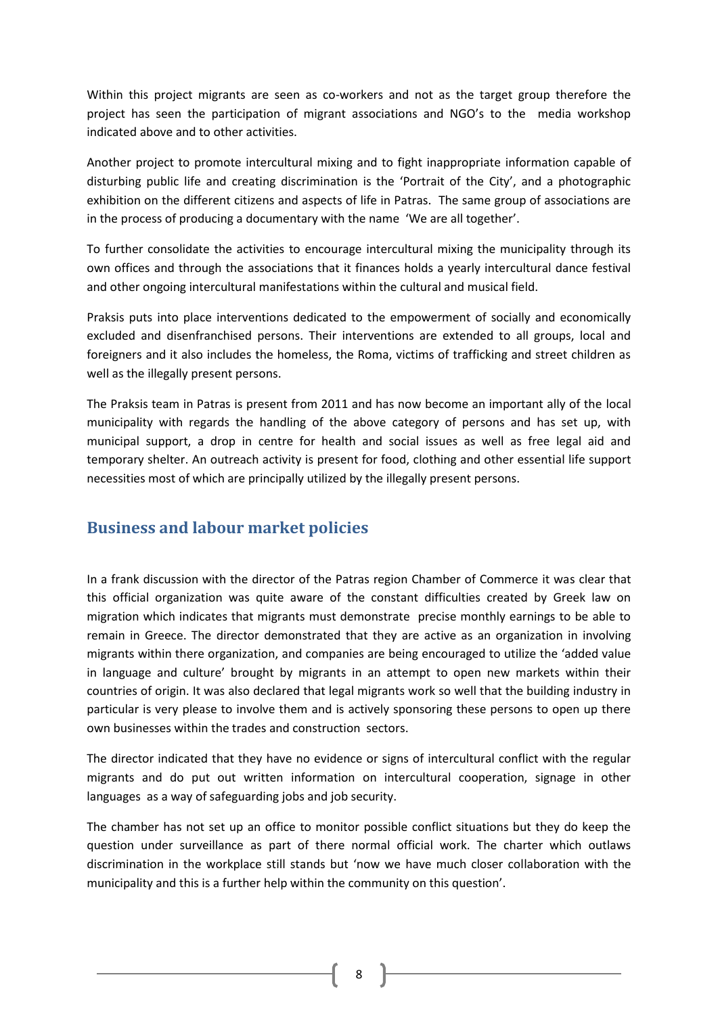Within this project migrants are seen as co-workers and not as the target group therefore the project has seen the participation of migrant associations and NGO's to the media workshop indicated above and to other activities.

Another project to promote intercultural mixing and to fight inappropriate information capable of disturbing public life and creating discrimination is the 'Portrait of the City', and a photographic exhibition on the different citizens and aspects of life in Patras. The same group of associations are in the process of producing a documentary with the name 'We are all together'.

To further consolidate the activities to encourage intercultural mixing the municipality through its own offices and through the associations that it finances holds a yearly intercultural dance festival and other ongoing intercultural manifestations within the cultural and musical field.

Praksis puts into place interventions dedicated to the empowerment of socially and economically excluded and disenfranchised persons. Their interventions are extended to all groups, local and foreigners and it also includes the homeless, the Roma, victims of trafficking and street children as well as the illegally present persons.

The Praksis team in Patras is present from 2011 and has now become an important ally of the local municipality with regards the handling of the above category of persons and has set up, with municipal support, a drop in centre for health and social issues as well as free legal aid and temporary shelter. An outreach activity is present for food, clothing and other essential life support necessities most of which are principally utilized by the illegally present persons.

#### **Business and labour market policies**

In a frank discussion with the director of the Patras region Chamber of Commerce it was clear that this official organization was quite aware of the constant difficulties created by Greek law on migration which indicates that migrants must demonstrate precise monthly earnings to be able to remain in Greece. The director demonstrated that they are active as an organization in involving migrants within there organization, and companies are being encouraged to utilize the 'added value in language and culture' brought by migrants in an attempt to open new markets within their countries of origin. It was also declared that legal migrants work so well that the building industry in particular is very please to involve them and is actively sponsoring these persons to open up there own businesses within the trades and construction sectors.

The director indicated that they have no evidence or signs of intercultural conflict with the regular migrants and do put out written information on intercultural cooperation, signage in other languages as a way of safeguarding jobs and job security.

The chamber has not set up an office to monitor possible conflict situations but they do keep the question under surveillance as part of there normal official work. The charter which outlaws discrimination in the workplace still stands but 'now we have much closer collaboration with the municipality and this is a further help within the community on this question'.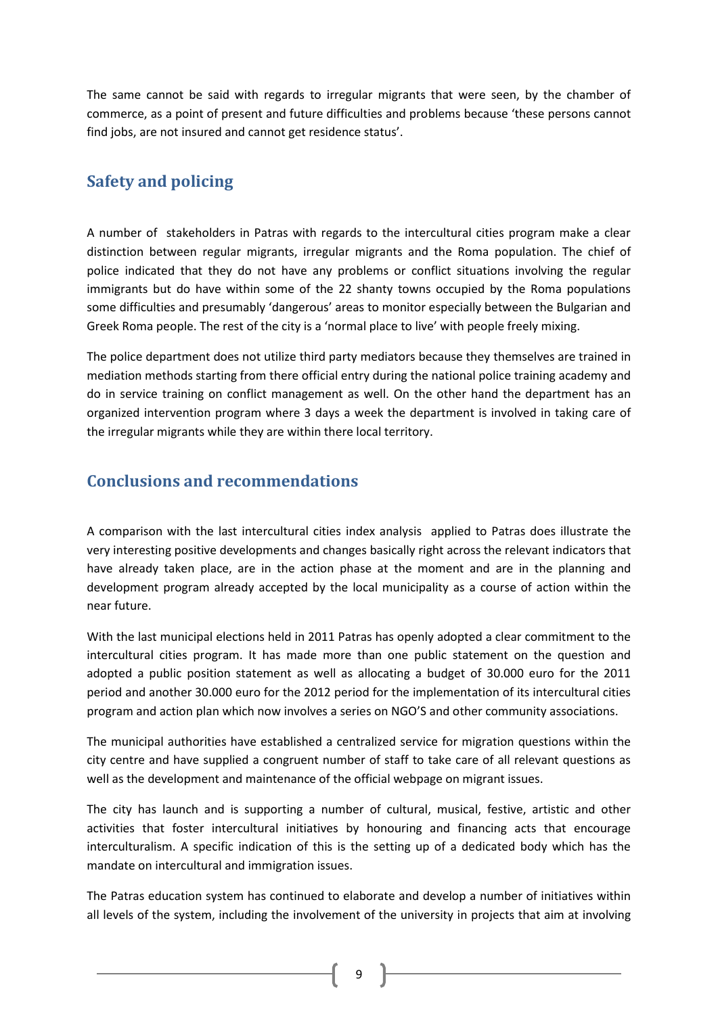The same cannot be said with regards to irregular migrants that were seen, by the chamber of commerce, as a point of present and future difficulties and problems because 'these persons cannot find jobs, are not insured and cannot get residence status'.

#### **Safety and policing**

A number of stakeholders in Patras with regards to the intercultural cities program make a clear distinction between regular migrants, irregular migrants and the Roma population. The chief of police indicated that they do not have any problems or conflict situations involving the regular immigrants but do have within some of the 22 shanty towns occupied by the Roma populations some difficulties and presumably 'dangerous' areas to monitor especially between the Bulgarian and Greek Roma people. The rest of the city is a 'normal place to live' with people freely mixing.

The police department does not utilize third party mediators because they themselves are trained in mediation methods starting from there official entry during the national police training academy and do in service training on conflict management as well. On the other hand the department has an organized intervention program where 3 days a week the department is involved in taking care of the irregular migrants while they are within there local territory.

#### **Conclusions and recommendations**

A comparison with the last intercultural cities index analysis applied to Patras does illustrate the very interesting positive developments and changes basically right across the relevant indicators that have already taken place, are in the action phase at the moment and are in the planning and development program already accepted by the local municipality as a course of action within the near future.

With the last municipal elections held in 2011 Patras has openly adopted a clear commitment to the intercultural cities program. It has made more than one public statement on the question and adopted a public position statement as well as allocating a budget of 30.000 euro for the 2011 period and another 30.000 euro for the 2012 period for the implementation of its intercultural cities program and action plan which now involves a series on NGO'S and other community associations.

The municipal authorities have established a centralized service for migration questions within the city centre and have supplied a congruent number of staff to take care of all relevant questions as well as the development and maintenance of the official webpage on migrant issues.

The city has launch and is supporting a number of cultural, musical, festive, artistic and other activities that foster intercultural initiatives by honouring and financing acts that encourage interculturalism. A specific indication of this is the setting up of a dedicated body which has the mandate on intercultural and immigration issues.

The Patras education system has continued to elaborate and develop a number of initiatives within all levels of the system, including the involvement of the university in projects that aim at involving